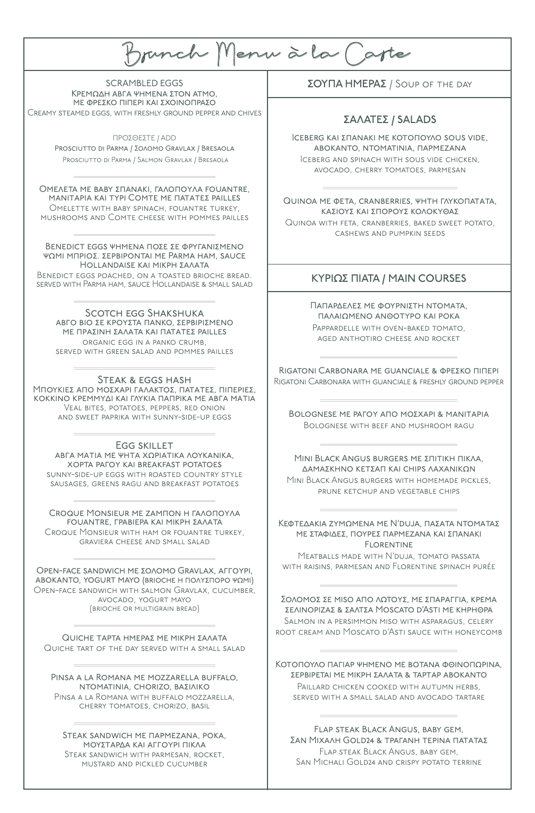B unch Menu a la Ca te

SCRAMBLED EGGS ΚΡΕΜΩΔΗ ΑΒΓΑ ΨΗΜΕΝΑ ΣΤΟΝ ΑΤΜΟ. ΗΕ ΦΡΕΣΚΟ ΠΙΠΕΡΙ ΚΑΙ ΣΧΟΙΝΟΠΡΑΣΟ Creamy steamed eggs, with freshly ground pepper and chives

> ΠΡΟΣΘΕΣΤΕ / ADD PROSCIUTTO DI PARMA / ΣΟΛΟΜΟ GRAVLAX / BRESAOLA Prosciutto di Parma / Salmon Gravlax / Bresaola

ΟΜΕΛΕΤΑ ΜΕ ΒΑΒΥ ΣΠΑΝΑΚΙ, ΓΑΛΟΠΟΥΛΑ FOUANTRE, MANITAPIA ΚΑΙ ΤΥΡΙ COMTE ΜΕ ΠΑΤΑΤΕΣ PAILLES Omelette with baby spinach, fouantre turkey, mushrooms and Comte cheese with pommes pailles

BENEDICT EGGS ΨΗΜΕΝΑ ΠΟΣΕ ΣΕ ΦΡΥΓΑΝΙΣΜΕΝΟ ψΩΜΙ ΜΠΡΙΟΣ. ΣΕΡΒΙΡΟΝΤΑΙ ΜΕ PARMA HAM, SAUCE ΗΟLLANDAISE ΚΑΙ ΜΙΚΡΗ ΣΑΛΑΤΑ Benedict eggs poached, on a toasted brioche bread. served with Parma ham, sauce Hollandaise & small salad

Scotch egg Shakshuka αΒΓΟ ΒΙΟ ΣΕ ΚΡΟΥΣΤΑ ΠΑΝΚΟ, ΣΕΡΒΙΡΙΣΜΕΝΟ ΜΕ ΠΡΑΣΙΝΗ ΣΑΛΑΤΑ ΚΑΙ ΠΑΤΑΤΕΣ PAILLES organic egg in a panko crumb, served with green salad and pommes pailles

Steak & eggs hash ΜπογκιεΣ Από ΜοΣΧΑΡΙ ΓΑΛΑΚΤΟΣ, ΠΑΤΑΤΕΣ, ΠΙΠΕΡΙΕΣ, ΚΟΚΚΙΝΟ ΚΡΕΜΜΥΔΙ ΚΑΙ ΓΛΥΚΙΑ ΠΑΠΡΙΚΑ ΜΕ ΑΒΓΑ ΜΑΤΙΑ Veal bites, potatoes, peppers, red onion and sweet paprika with sunny-side-up eggs

Egg skillet αΒΓΑ ΜΑΤΙΑ ΜΕ ΨΗΤΑ ΧΩΡΙΑΤΙΚΑ ΛΟΥΚΑΝΙΚΑ, χόρτα ρατό και breakfast potatoes sunny-side-up eggs with roasted country style sausages, greens ragu and breakfast potatoes

CROQUE MONSIEUR ΜΕ ΖΑΜΠΟΝ Η ΓΑΛΟΠΟΥΛΑ fouantre, γραβιέρα και μικρή σαλάτα Croque Monsieur with ham or fouantre turkey, graviera cheese and small salad

OPEN-FACE SANDWICH ΜΕ ΣΟΛΟΜΟ GRAVLAX, ΑΓΓΟΥΡΙ, ΑΒΟΚΑΝΤΟ, YOGURT MAYO (ΒRIOCHE Η ΠΟΛΥΣΠΟΡΟ ΨΩΜΙ) Open-face sandwich with salmon Gravlax, cucumber, avocado, yogurt mayo (brioche or multigrain bread)

Quiche τάρτα ημέρας με μικρή σαλάτα Quiche tart of the day served with a small salad

PINSA A LA ROMANA ME MOZZARELLA BUFFALO, ΝΤΟΜΑΤΙΝΙΑ, CHORIZO, ΒΑΣΙΛΙΚΟ Pinsa a la Romana with buffalo mozzarella, cherry tomatoes, chorizo, basil

STEAK SANDWICH ΜΕ ΠΑΡΜΕΖΑΝΑ, ΡΟΚΑ, ΜΟΥΣΤΑΡΔΑ ΚΑΙ ΑΓΓΟΥΡΙ ΠΙΚΛΑ Steak sandwich with parmesan, rocket, mustard and pickled cucumber

ΣΟΥΠΑ ΗΜΕΡΑΣ / Soup of the day

### ΣΑΛΑΤΕΣ / SALADS

ICEBERG ΚΑΙ ΣΠΑΝΑΚΙ ΜΕ ΚΟΤΟΠΟΥΛΟ SOUS VIDE, αΒΟΚΑΝΤΟ, ΝΤΟΜΑΤΙΝΙΑ, ΠΑΡΜΕΖΑΝΑ Iceberg and spinach with sous vide chicken, avocado, cherry tomatoes, parmesan

QUINOA ΜΕ ΦΕΤΑ, CRANBERRIES, ΨΗΤΗ ΓΛΥΚΟΠΑΤΑΤΑ, καΣΙΟΥΣ ΚΑΙ ΣΠΟΡΟΥΣ ΚΟΛΟΚΥΘΑΣ Quinoa with feta, cranberries, baked sweet potato, cashews and pumpkin seeds

### ΚΥΡΙΩΣ ΠΙΑΤΑ / MAIN COURSES

ΠΑΠΑΡΔΕΛΕΣ ΜΕ ΦΟΥΡΝΙΣΤΗ ΝΤΟΜΑΤΑ. παλαιΩΜΕΝΟ ΑΝΘΟΤΥΡΟ ΚΑΙ ΡΟΚΑ Pappardelle with oven-baked tomato, aged anthotiro cheese and rocket

RIGATONI CARBONARA ΜΕ GUANCIALE & ΦΡΕΣΚΟ ΠΙΠΕΡΙ Rigatoni Carbonara with guanciale & freshly ground pepper

ΒΟLOGNESE ΜΕ ΡΑΓΟΥ ΑΠΟ ΜΟΣΧΑΡΙ & ΜΑΝΙΤΑΡΙΑ Bolognese with beef and mushroom ragu

MINI BLACK ANGUS BURGERS ΜΕ ΣΠΙΤΙΚΉ ΠΙΚΛΑ. ΔΑΜΑΣΚΗΝΟ ΚΕΤΣΑΠ ΚΑΙ CHIPS ΛΑΧΑΝΙΚΩΝ Mini Black Angus burgers with homemade pickles, prune ketchup and vegetable chips

ΚεφτεΔακία ΖΥΜΩΜΈΝΑ ΜΕ Ν'DUJA, ΠΑΣΑΤΑ ΝΤΟΜΑΤΑΣ ΜΕ ΣΤΑΦΙΔΕΣ, ΠΟΥΡΕΣ ΠΑΡΜΕΖΑΝΑ ΚΑΙ ΣΠΑΝΑΚΙ **FIORENTINE** 

Meatballs made with N'duja, tomato passata with raisins, parmesan and Florentine spinach purée

ΣΟΛΟΜΟΣ ΣΕ MISO ΑΠΟ ΛΩΤΟΥΣ, ΜΕ ΣΠΑΡΑΓΓΙΑ, ΚΡΕΜΑ ΣΕΛΙΝΟΡΙΖΑΣ & ΣΑΛΤΣΑ MOSCATO D'ASTI ΜΕ ΚΗΡΗΘΡΑ Salmon in a persimmon miso with asparagus, celery root cream and Moscato d'Asti sauce with honeycomb

Κοτόπογλο παΓίαρ ψηΜένο Με Βότανα φθινοπάρινα, ΣΕΡΒΙΡΕΤΑΙ ΜΕ ΜΙΚΡΗ ΣΑΛΑΤΑ & ΤΑΡΤΑΡ ΑΒΟΚΑΝΤΟ PAILLARD CHICKEN COOKED WITH AUTUMN HERBS. served with a small salad and avocado tartare

Flap steak Black Angus, baby gem, ΣΑΝ ΜΙΧΑΛΗ GOLD24 & ΤΡΑΓΑΝΗ ΤΕΡΙΝΑ ΠΑΤΑΤΑΣ Flap steak Black Angus, baby gem, San Michali Gold24 and crispy potato terrine